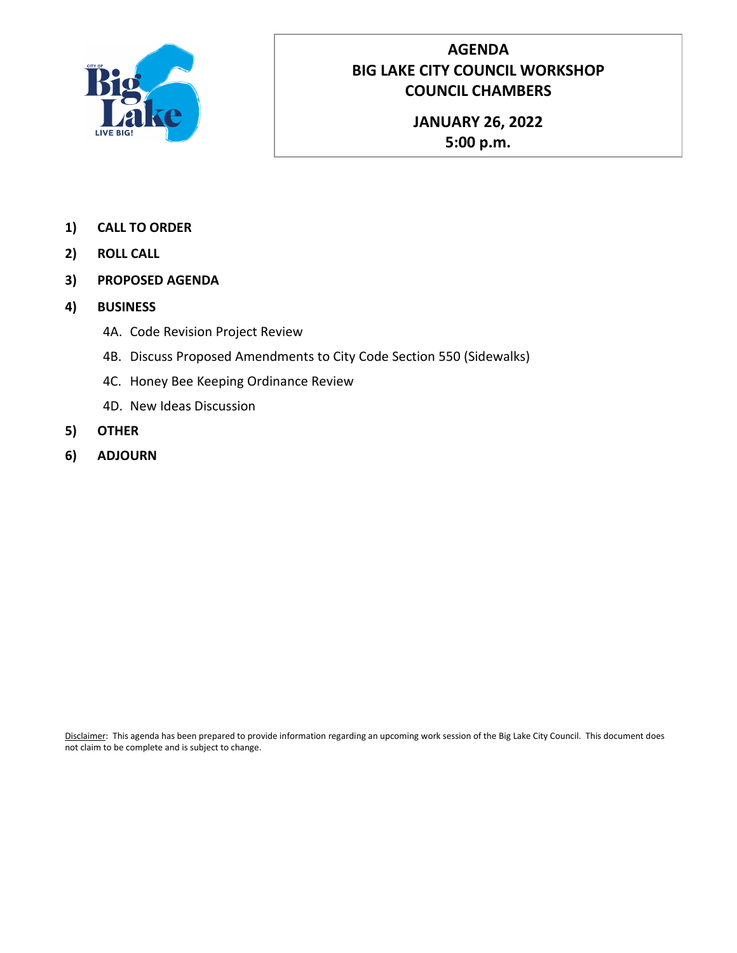

### **AGENDA BIG LAKE CITY COUNCIL WORKSHOP COUNCIL CHAMBERS**

**JANUARY 26, 2022 5:00 p.m.**

- **1) CALL TO ORDER**
- **2) ROLL CALL**
- **3) PROPOSED AGENDA**
- **4) BUSINESS**
	- 4A. Code Revision Project Review
	- 4B. Discuss Proposed Amendments to City Code Section 550 (Sidewalks)
	- 4C. Honey Bee Keeping Ordinance Review
	- 4D. New Ideas Discussion
- **5) OTHER**
- **6) ADJOURN**

Disclaimer: This agenda has been prepared to provide information regarding an upcoming work session of the Big Lake City Council. This document does not claim to be complete and is subject to change.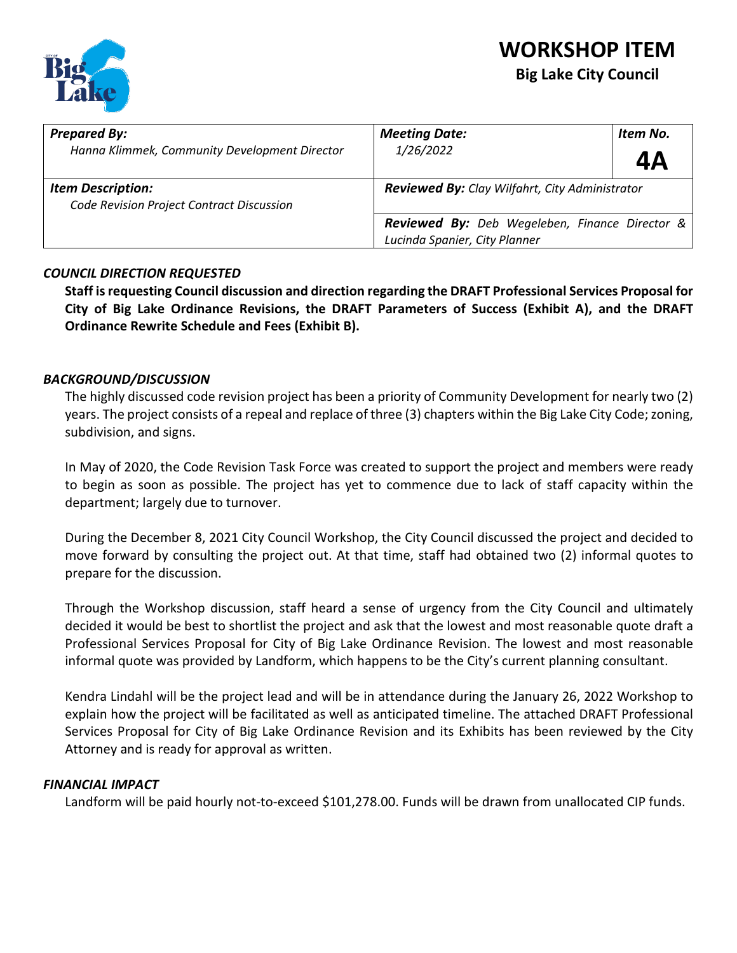### **WORKSHOP ITEM Big Lake City Council**



| <b>Prepared By:</b><br>Hanna Klimmek, Community Development Director  | <b>Meeting Date:</b><br>Item No.<br>1/26/2022<br>4Α                                       |  |  |  |  |
|-----------------------------------------------------------------------|-------------------------------------------------------------------------------------------|--|--|--|--|
| <b>Item Description:</b><br>Code Revision Project Contract Discussion | <b>Reviewed By:</b> Clay Wilfahrt, City Administrator                                     |  |  |  |  |
|                                                                       | <b>Reviewed By:</b> Deb Wegeleben, Finance Director $\&$<br>Lucinda Spanier, City Planner |  |  |  |  |

### *COUNCIL DIRECTION REQUESTED*

**Staff is requesting Council discussion and direction regarding the DRAFT Professional Services Proposal for City of Big Lake Ordinance Revisions, the DRAFT Parameters of Success (Exhibit A), and the DRAFT Ordinance Rewrite Schedule and Fees (Exhibit B).** 

### *BACKGROUND/DISCUSSION*

The highly discussed code revision project has been a priority of Community Development for nearly two (2) years. The project consists of a repeal and replace of three (3) chapters within the Big Lake City Code; zoning, subdivision, and signs.

In May of 2020, the Code Revision Task Force was created to support the project and members were ready to begin as soon as possible. The project has yet to commence due to lack of staff capacity within the department; largely due to turnover.

During the December 8, 2021 City Council Workshop, the City Council discussed the project and decided to move forward by consulting the project out. At that time, staff had obtained two (2) informal quotes to prepare for the discussion.

Through the Workshop discussion, staff heard a sense of urgency from the City Council and ultimately decided it would be best to shortlist the project and ask that the lowest and most reasonable quote draft a Professional Services Proposal for City of Big Lake Ordinance Revision. The lowest and most reasonable informal quote was provided by Landform, which happens to be the City's current planning consultant.

Kendra Lindahl will be the project lead and will be in attendance during the January 26, 2022 Workshop to explain how the project will be facilitated as well as anticipated timeline. The attached DRAFT Professional Services Proposal for City of Big Lake Ordinance Revision and its Exhibits has been reviewed by the City Attorney and is ready for approval as written.

### *FINANCIAL IMPACT*

Landform will be paid hourly not-to-exceed \$101,278.00. Funds will be drawn from unallocated CIP funds.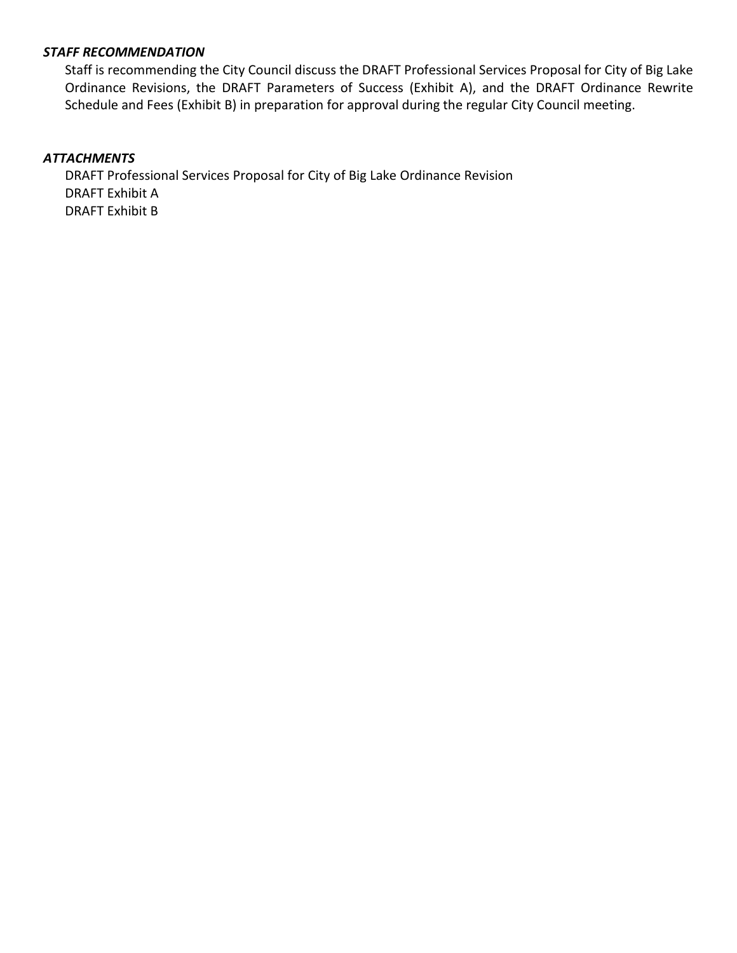### *STAFF RECOMMENDATION*

Staff is recommending the City Council discuss the DRAFT Professional Services Proposal for City of Big Lake Ordinance Revisions, the DRAFT Parameters of Success (Exhibit A), and the DRAFT Ordinance Rewrite Schedule and Fees (Exhibit B) in preparation for approval during the regular City Council meeting.

### *ATTACHMENTS*

DRAFT Professional Services Proposal for City of Big Lake Ordinance Revision DRAFT Exhibit A DRAFT Exhibit B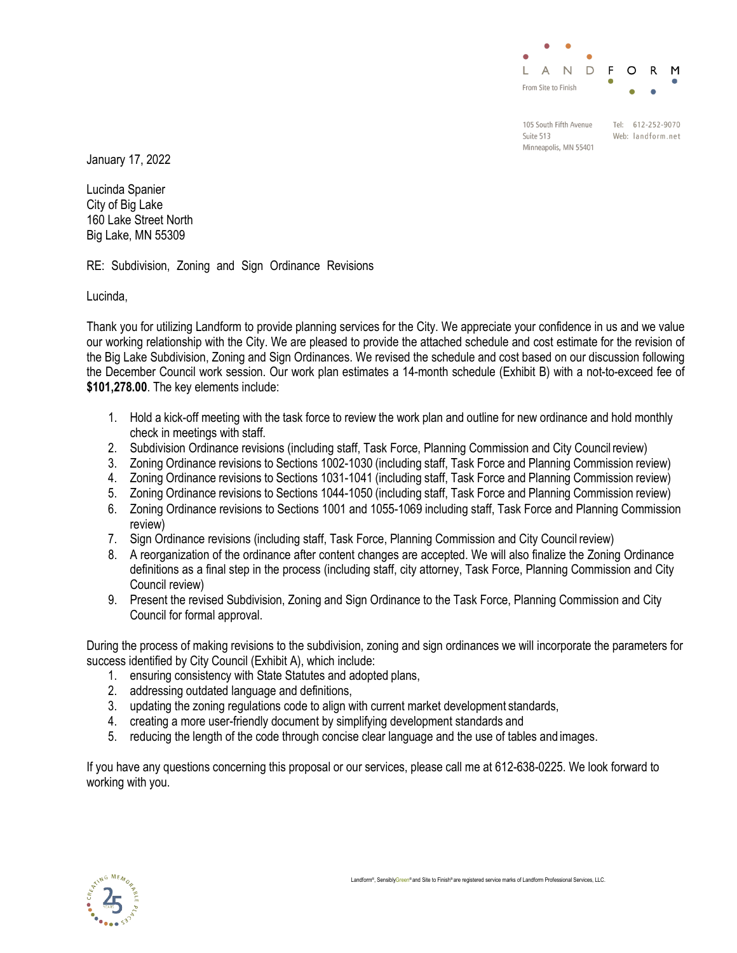

105 South Fifth Avenue Suite 513 Minneapolis, MN 55401

Tel: 612-252-9070 Web: landform.net

January 17, 2022

Lucinda Spanier City of Big Lake 160 Lake Street North Big Lake, MN 55309

RE: Subdivision, Zoning and Sign Ordinance Revisions

Lucinda,

Thank you for utilizing Landform to provide planning services for the City. We appreciate your confidence in us and we value our working relationship with the City. We are pleased to provide the attached schedule and cost estimate for the revision of the Big Lake Subdivision, Zoning and Sign Ordinances. We revised the schedule and cost based on our discussion following the December Council work session. Our work plan estimates a 14-month schedule (Exhibit B) with a not-to-exceed fee of **\$101,278.00**. The key elements include:

- 1. Hold a kick-off meeting with the task force to review the work plan and outline for new ordinance and hold monthly check in meetings with staff.
- 2. Subdivision Ordinance revisions (including staff, Task Force, Planning Commission and City Councilreview)
- 3. Zoning Ordinance revisions to Sections 1002-1030 (including staff, Task Force and Planning Commission review)
- 4. Zoning Ordinance revisions to Sections 1031-1041 (including staff, Task Force and Planning Commission review)
- 5. Zoning Ordinance revisions to Sections 1044-1050 (including staff, Task Force and Planning Commission review)
- 6. Zoning Ordinance revisions to Sections 1001 and 1055-1069 including staff, Task Force and Planning Commission review)
- 7. Sign Ordinance revisions (including staff, Task Force, Planning Commission and City Council review)
- 8. A reorganization of the ordinance after content changes are accepted. We will also finalize the Zoning Ordinance definitions as a final step in the process (including staff, city attorney, Task Force, Planning Commission and City Council review)
- 9. Present the revised Subdivision, Zoning and Sign Ordinance to the Task Force, Planning Commission and City Council for formal approval.

During the process of making revisions to the subdivision, zoning and sign ordinances we will incorporate the parameters for success identified by City Council (Exhibit A), which include:

- 1. ensuring consistency with State Statutes and adopted plans,
- 2. addressing outdated language and definitions,
- 3. updating the zoning regulations code to align with current market development standards,
- 4. creating a more user-friendly document by simplifying development standards and
- 5. reducing the length of the code through concise clear language and the use of tables and images.

If you have any questions concerning this proposal or our services, please call me at 612-638-0225. We look forward to working with you.

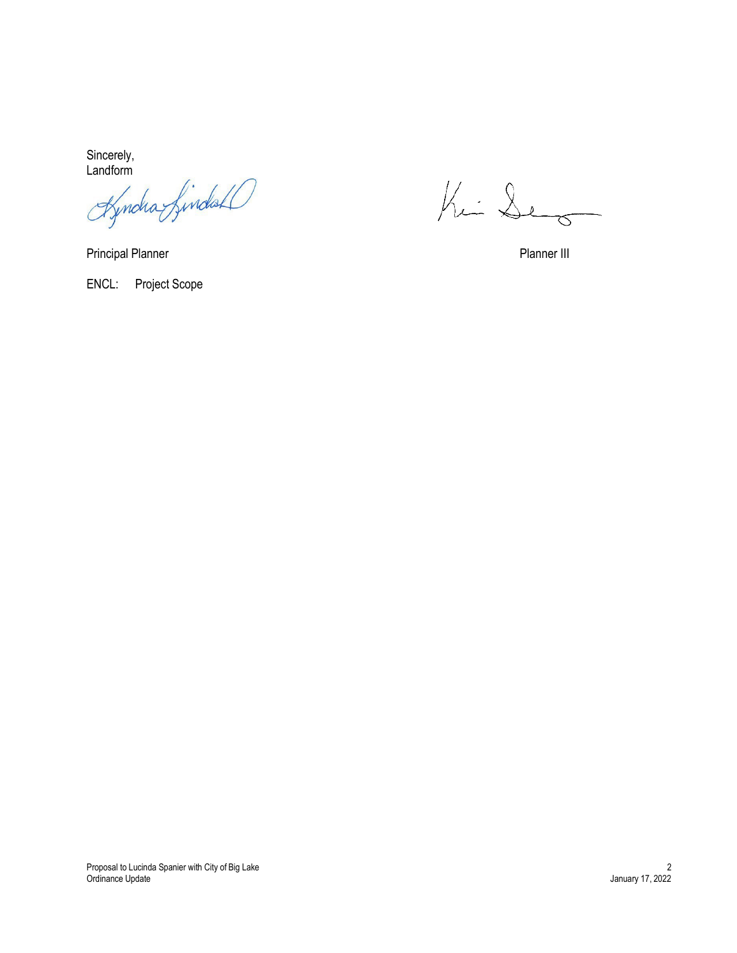Sincerely, Landform

Principal Planner **Principal Planner III** 

Kin De

ENCL: Project Scope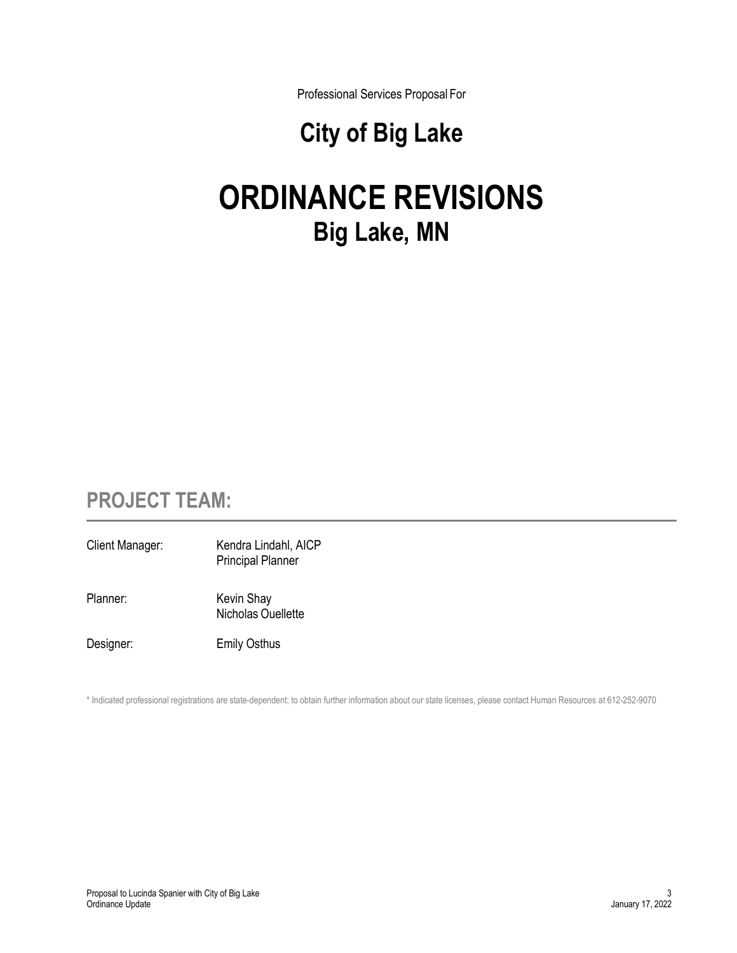Professional Services Proposal For

# **City of Big Lake**

# **ORDINANCE REVISIONS Big Lake, MN**

# **PROJECT TEAM:**

Client Manager: Kendra Lindahl, AICP Principal Planner Planner: Kevin Shay Nicholas Ouellette Designer: Emily Osthus

\* Indicated professional registrations are state-dependent; to obtain further information about our state licenses, please contact Human Resources at 612-252-9070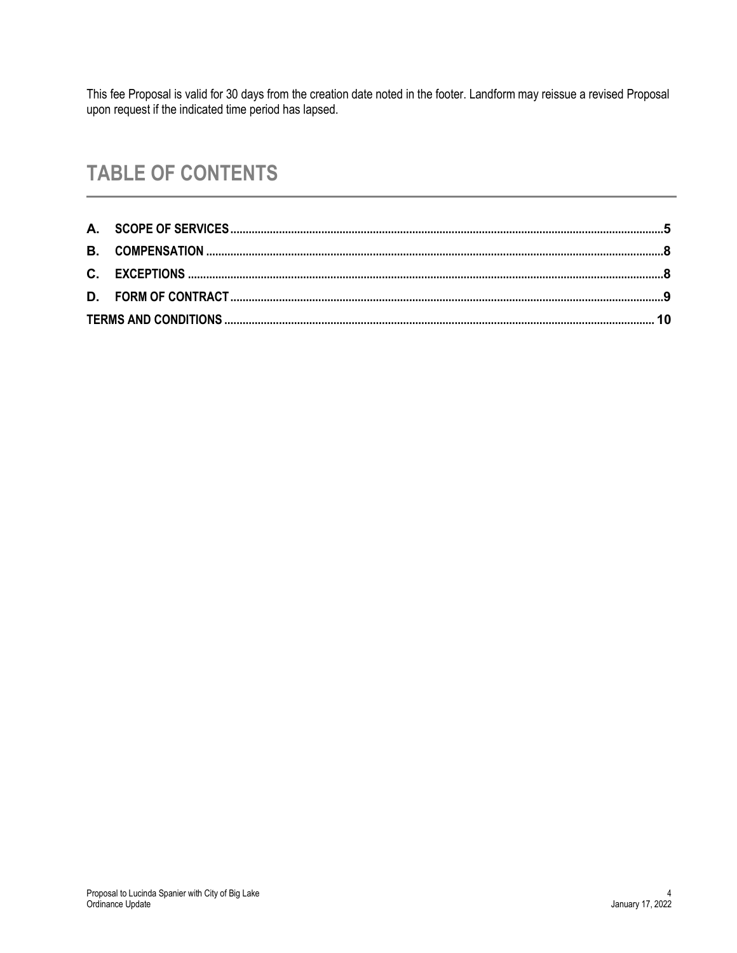This fee Proposal is valid for 30 days from the creation date noted in the footer. Landform may reissue a revised Proposal upon request if the indicated time period has lapsed.

# **TABLE OF CONTENTS**

<span id="page-6-0"></span>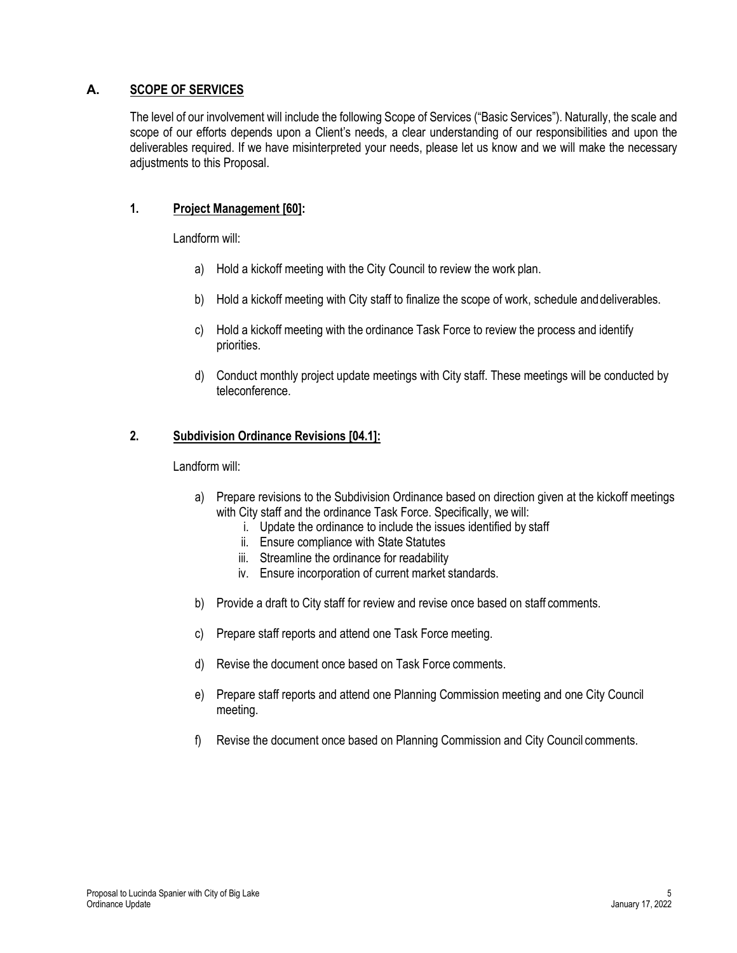### **A. SCOPE OF SERVICES**

The level of our involvement will include the following Scope of Services ("Basic Services"). Naturally, the scale and scope of our efforts depends upon a Client's needs, a clear understanding of our responsibilities and upon the deliverables required. If we have misinterpreted your needs, please let us know and we will make the necessary adjustments to this Proposal.

### **1. Project Management [60]:**

Landform will:

- a) Hold a kickoff meeting with the City Council to review the work plan.
- b) Hold a kickoff meeting with City staff to finalize the scope of work, schedule anddeliverables.
- c) Hold a kickoff meeting with the ordinance Task Force to review the process and identify priorities.
- d) Conduct monthly project update meetings with City staff. These meetings will be conducted by teleconference.

### **2. Subdivision Ordinance Revisions [04.1]:**

Landform will:

- a) Prepare revisions to the Subdivision Ordinance based on direction given at the kickoff meetings with City staff and the ordinance Task Force. Specifically, we will:
	- i. Update the ordinance to include the issues identified by staff
	- ii. Ensure compliance with State Statutes
	- iii. Streamline the ordinance for readability
	- iv. Ensure incorporation of current market standards.
- b) Provide a draft to City staff for review and revise once based on staff comments.
- c) Prepare staff reports and attend one Task Force meeting.
- d) Revise the document once based on Task Force comments.
- e) Prepare staff reports and attend one Planning Commission meeting and one City Council meeting.
- f) Revise the document once based on Planning Commission and City Council comments.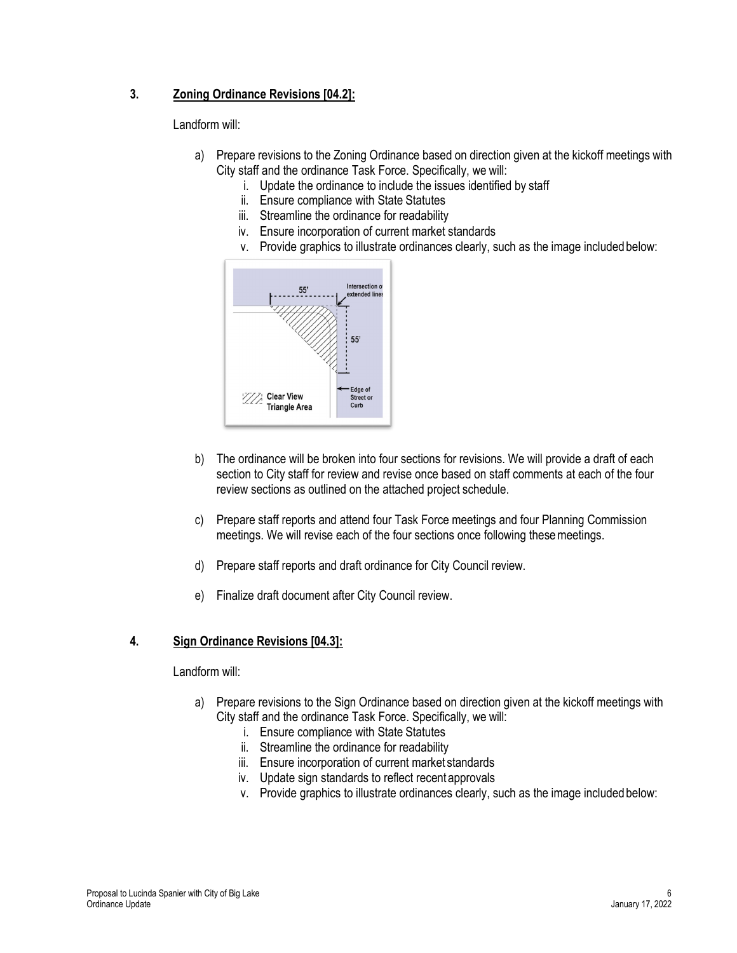### **3. Zoning Ordinance Revisions [04.2]:**

Landform will:

- a) Prepare revisions to the Zoning Ordinance based on direction given at the kickoff meetings with City staff and the ordinance Task Force. Specifically, we will:
	- i. Update the ordinance to include the issues identified by staff
	- ii. Ensure compliance with State Statutes
	- iii. Streamline the ordinance for readability
	- iv. Ensure incorporation of current market standards
	- v. Provide graphics to illustrate ordinances clearly, such as the image included below:



- b) The ordinance will be broken into four sections for revisions. We will provide a draft of each section to City staff for review and revise once based on staff comments at each of the four review sections as outlined on the attached project schedule.
- c) Prepare staff reports and attend four Task Force meetings and four Planning Commission meetings. We will revise each of the four sections once following these meetings.
- d) Prepare staff reports and draft ordinance for City Council review.
- e) Finalize draft document after City Council review.

### **4. Sign Ordinance Revisions [04.3]:**

#### Landform will:

- a) Prepare revisions to the Sign Ordinance based on direction given at the kickoff meetings with City staff and the ordinance Task Force. Specifically, we will:
	- i. Ensure compliance with State Statutes
	- ii. Streamline the ordinance for readability
	- iii. Ensure incorporation of current market standards
	- iv. Update sign standards to reflect recent approvals
	- v. Provide graphics to illustrate ordinances clearly, such as the image included below: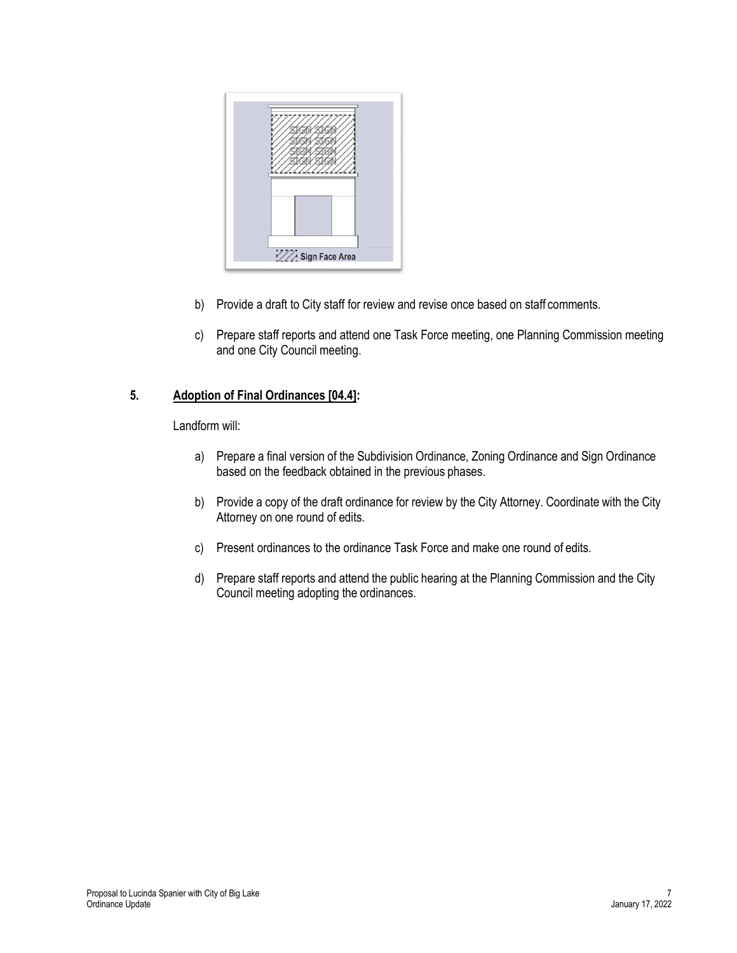

- b) Provide a draft to City staff for review and revise once based on staff comments.
- c) Prepare staff reports and attend one Task Force meeting, one Planning Commission meeting and one City Council meeting.

### **5. Adoption of Final Ordinances [04.4]:**

Landform will:

- a) Prepare a final version of the Subdivision Ordinance, Zoning Ordinance and Sign Ordinance based on the feedback obtained in the previous phases.
- b) Provide a copy of the draft ordinance for review by the City Attorney. Coordinate with the City Attorney on one round of edits.
- c) Present ordinances to the ordinance Task Force and make one round of edits.
- d) Prepare staff reports and attend the public hearing at the Planning Commission and the City Council meeting adopting the ordinances.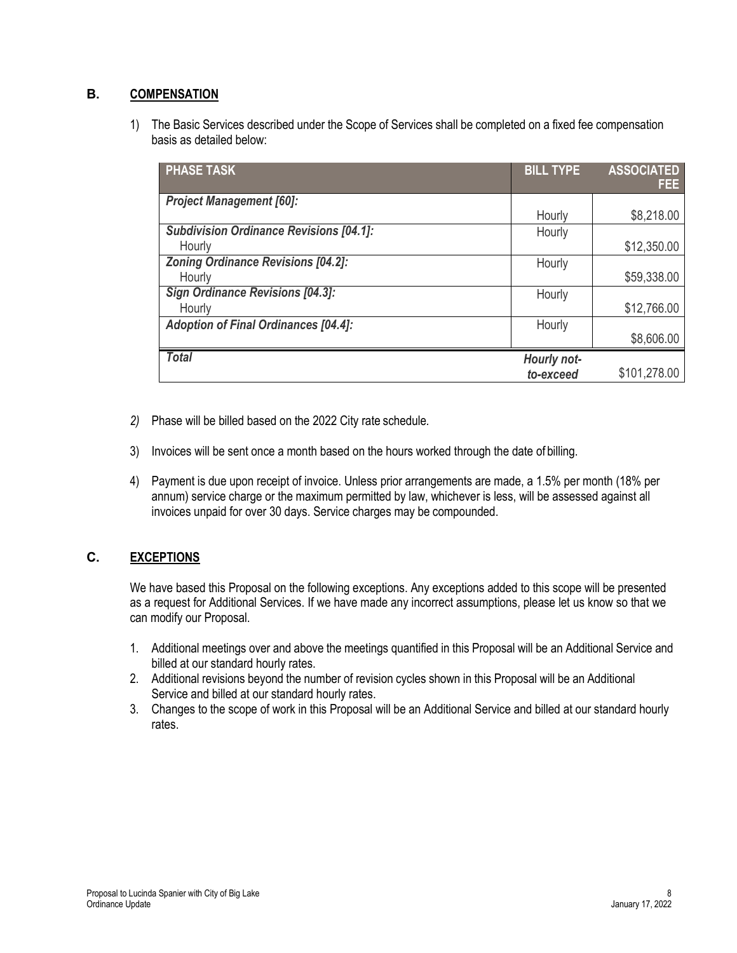### <span id="page-10-0"></span>**B. COMPENSATION**

1) The Basic Services described under the Scope of Services shall be completed on a fixed fee compensation basis as detailed below:

| <b>PHASE TASK</b>                              | <b>BILL TYPE</b> | <b>ASSOCIATED</b><br>FEE: |
|------------------------------------------------|------------------|---------------------------|
| <b>Project Management [60]:</b>                |                  |                           |
|                                                | Hourly           | \$8,218.00                |
| <b>Subdivision Ordinance Revisions [04.1]:</b> | Hourly           |                           |
| Hourly                                         |                  | \$12,350.00               |
| <b>Zoning Ordinance Revisions [04.2]:</b>      | Hourly           |                           |
| Hourly                                         |                  | \$59,338.00               |
| <b>Sign Ordinance Revisions [04.3]:</b>        | Hourly           |                           |
| Hourly                                         |                  | \$12,766.00               |
| <b>Adoption of Final Ordinances [04.4]:</b>    | Hourly           |                           |
|                                                |                  | \$8,606.00                |
| <b>Total</b>                                   | Hourly not-      |                           |
|                                                | to-exceed        | \$101,278.00              |

- *2)* Phase will be billed based on the 2022 City rate schedule*.*
- 3) Invoices will be sent once a month based on the hours worked through the date of billing.
- 4) Payment is due upon receipt of invoice. Unless prior arrangements are made, a 1.5% per month (18% per annum) service charge or the maximum permitted by law, whichever is less, will be assessed against all invoices unpaid for over 30 days. Service charges may be compounded.

### <span id="page-10-1"></span>**C. EXCEPTIONS**

We have based this Proposal on the following exceptions. Any exceptions added to this scope will be presented as a request for Additional Services. If we have made any incorrect assumptions, please let us know so that we can modify our Proposal.

- 1. Additional meetings over and above the meetings quantified in this Proposal will be an Additional Service and billed at our standard hourly rates.
- 2. Additional revisions beyond the number of revision cycles shown in this Proposal will be an Additional Service and billed at our standard hourly rates.
- 3. Changes to the scope of work in this Proposal will be an Additional Service and billed at our standard hourly rates.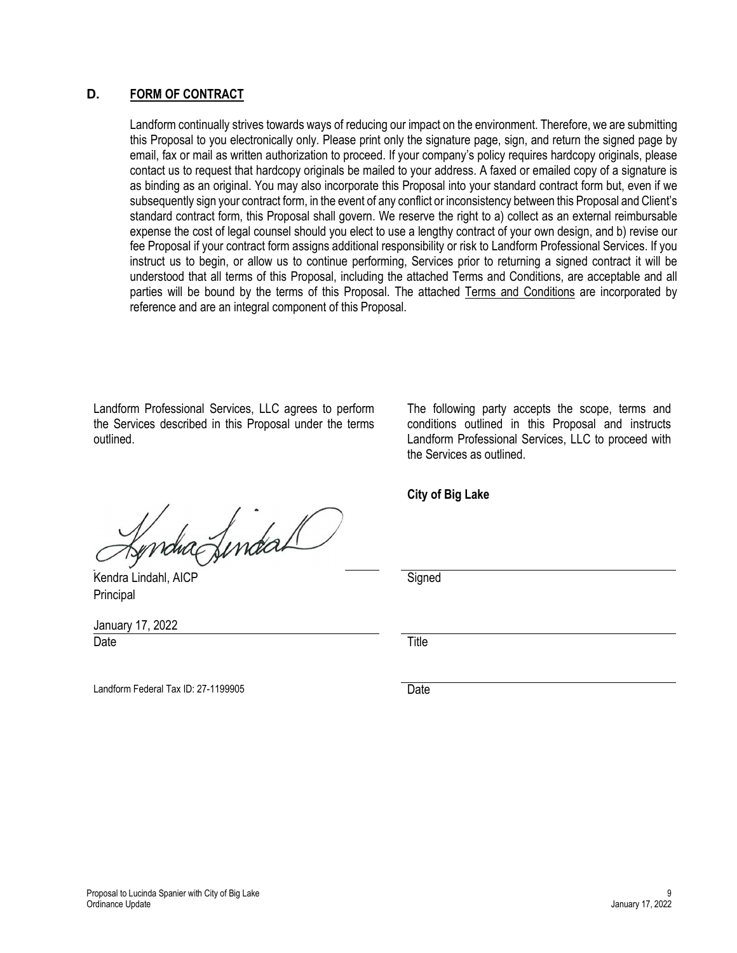### <span id="page-11-0"></span>**D. FORM OF CONTRACT**

Landform continually strives towards ways of reducing our impact on the environment. Therefore, we are submitting this Proposal to you electronically only. Please print only the signature page, sign, and return the signed page by email, fax or mail as written authorization to proceed. If your company's policy requires hardcopy originals, please contact us to request that hardcopy originals be mailed to your address. A faxed or emailed copy of a signature is as binding as an original. You may also incorporate this Proposal into your standard contract form but, even if we subsequently sign your contract form, in the event of any conflict or inconsistency between this Proposal and Client's standard contract form, this Proposal shall govern. We reserve the right to a) collect as an external reimbursable expense the cost of legal counsel should you elect to use a lengthy contract of your own design, and b) revise our fee Proposal if your contract form assigns additional responsibility or risk to Landform Professional Services. If you instruct us to begin, or allow us to continue performing, Services prior to returning a signed contract it will be understood that all terms of this Proposal, including the attached Terms and Conditions, are acceptable and all parties will be bound by the terms of this Proposal. The attached Terms and Conditions are incorporated by reference and are an integral component of this Proposal.

Landform Professional Services, LLC agrees to perform the Services described in this Proposal under the terms outlined.

The following party accepts the scope, terms and conditions outlined in this Proposal and instructs Landform Professional Services, LLC to proceed with the Services as outlined.

**City of Big Lake**

Date **Date Date Title** 

Kendra Lindahl, AICP Signed

January 17, 2022

**Principal** 

Landform Federal Tax ID: 27-1199905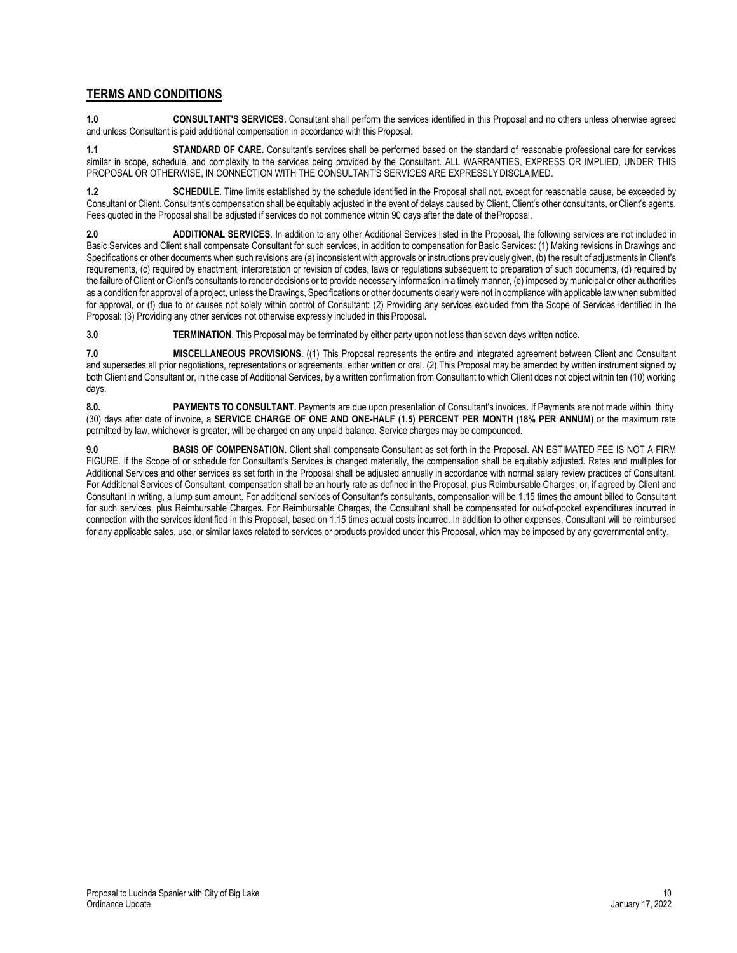### <span id="page-12-0"></span>**TERMS AND CONDITIONS**

**1.0 CONSULTANT'S SERVICES.** Consultant shall perform the services identified in this Proposal and no others unless otherwise agreed and unless Consultant is paid additional compensation in accordance with this Proposal.

**1.1 STANDARD OF CARE.** Consultant's services shall be performed based on the standard of reasonable professional care for services similar in scope, schedule, and complexity to the services being provided by the Consultant. ALL WARRANTIES, EXPRESS OR IMPLIED, UNDER THIS PROPOSAL OR OTHERWISE, IN CONNECTION WITH THE CONSULTANT'S SERVICES ARE EXPRESSLYDISCLAIMED.

**1.2 SCHEDULE.** Time limits established by the schedule identified in the Proposal shall not, except for reasonable cause, be exceeded by Consultant or Client. Consultant's compensation shall be equitably adjusted in the event of delays caused by Client, Client's other consultants, or Client's agents. Fees quoted in the Proposal shall be adjusted if services do not commence within 90 days after the date of theProposal.

**2.0 ADDITIONAL SERVICES**. In addition to any other Additional Services listed in the Proposal, the following services are not included in Basic Services and Client shall compensate Consultant for such services, in addition to compensation for Basic Services: (1) Making revisions in Drawings and Specifications or other documents when such revisions are (a) inconsistent with approvals or instructions previously given, (b) the result of adjustments in Client's requirements, (c) required by enactment, interpretation or revision of codes, laws or regulations subsequent to preparation of such documents, (d) required by the failure of Client or Client's consultants to render decisions or to provide necessary information in a timely manner, (e) imposed by municipal or other authorities as a condition for approval of a project, unless the Drawings, Specifications or other documents clearly were not in compliance with applicable law when submitted for approval, or (f) due to or causes not solely within control of Consultant: (2) Providing any services excluded from the Scope of Services identified in the Proposal: (3) Providing any other services not otherwise expressly included in this Proposal.

**3.0 TERMINATION**. This Proposal may be terminated by either party upon not less than seven days written notice.

**7.0 MISCELLANEOUS PROVISIONS**. ((1) This Proposal represents the entire and integrated agreement between Client and Consultant and supersedes all prior negotiations, representations or agreements, either written or oral. (2) This Proposal may be amended by written instrument signed by both Client and Consultant or, in the case of Additional Services, by a written confirmation from Consultant to which Client does not object within ten (10) working days.

**8.0. PAYMENTS TO CONSULTANT.** Payments are due upon presentation of Consultant's invoices. If Payments are not made within thirty (30) days after date of invoice, a **SERVICE CHARGE OF ONE AND ONE-HALF (1.5) PERCENT PER MONTH (18% PER ANNUM)** or the maximum rate permitted by law, whichever is greater, will be charged on any unpaid balance. Service charges may be compounded.

**9.0 BASIS OF COMPENSATION**. Client shall compensate Consultant as set forth in the Proposal. AN ESTIMATED FEE IS NOT A FIRM FIGURE. If the Scope of or schedule for Consultant's Services is changed materially, the compensation shall be equitably adjusted. Rates and multiples for Additional Services and other services as set forth in the Proposal shall be adjusted annually in accordance with normal salary review practices of Consultant. For Additional Services of Consultant, compensation shall be an hourly rate as defined in the Proposal, plus Reimbursable Charges; or, if agreed by Client and Consultant in writing, a lump sum amount. For additional services of Consultant's consultants, compensation will be 1.15 times the amount billed to Consultant for such services, plus Reimbursable Charges. For Reimbursable Charges, the Consultant shall be compensated for out-of-pocket expenditures incurred in connection with the services identified in this Proposal, based on 1.15 times actual costs incurred. In addition to other expenses, Consultant will be reimbursed for any applicable sales, use, or similar taxes related to services or products provided under this Proposal, which may be imposed by any governmental entity.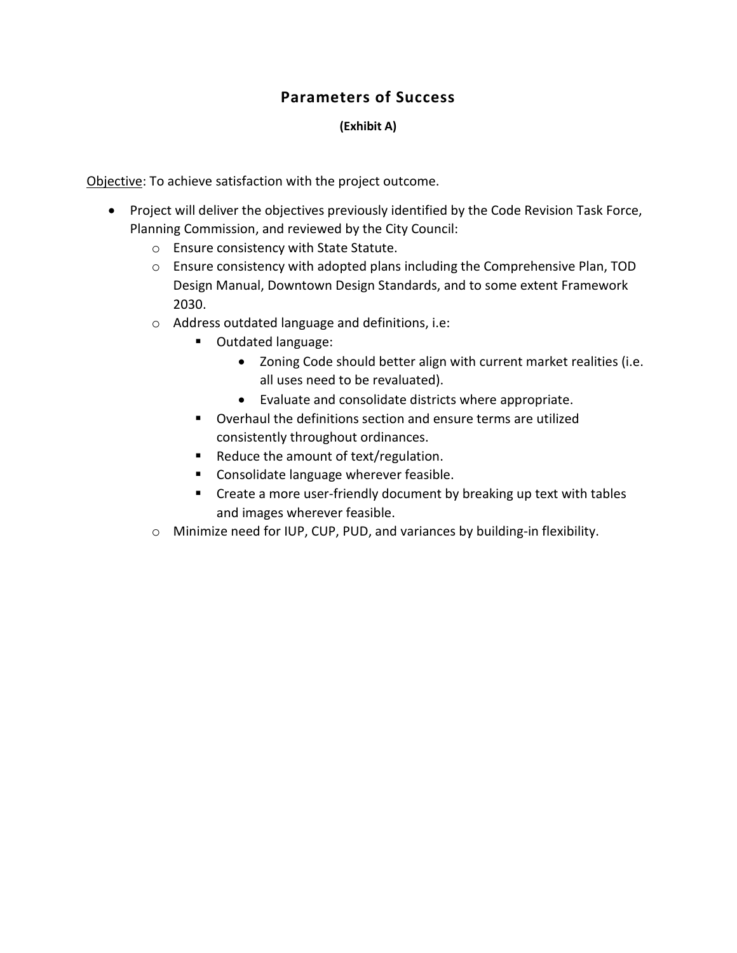### **Parameters of Success**

### **(Exhibit A)**

Objective: To achieve satisfaction with the project outcome.

- Project will deliver the objectives previously identified by the Code Revision Task Force, Planning Commission, and reviewed by the City Council:
	- o Ensure consistency with State Statute.
	- o Ensure consistency with adopted plans including the Comprehensive Plan, TOD Design Manual, Downtown Design Standards, and to some extent Framework 2030.
	- o Address outdated language and definitions, i.e:
		- **Outdated language:** 
			- Zoning Code should better align with current market realities (i.e. all uses need to be revaluated).
			- Evaluate and consolidate districts where appropriate.
		- Overhaul the definitions section and ensure terms are utilized consistently throughout ordinances.
		- Reduce the amount of text/regulation.
		- **Consolidate language wherever feasible.**
		- **EXP** Create a more user-friendly document by breaking up text with tables and images wherever feasible.
	- o Minimize need for IUP, CUP, PUD, and variances by building-in flexibility.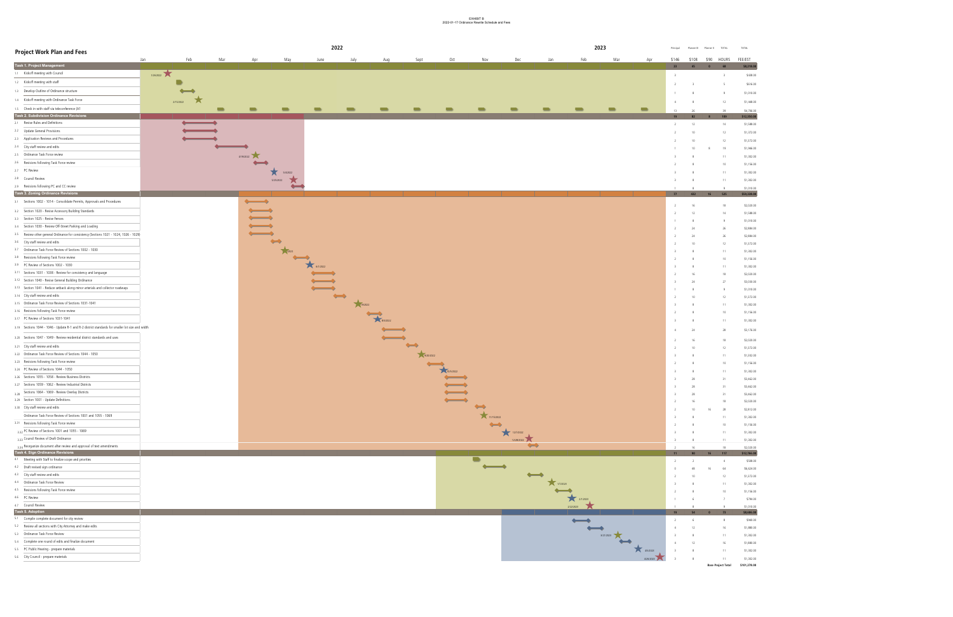### EXHIBIT B 2022-01-17 Ordinance Rewrite Schedule and Fees



| <b>Project Work Plan and Fees</b>                                                                |            |     |                           |                          |              | 2022    |              |           |                           |            |                         |                             |           | 2023           |           | Principal | Planner III     | <b>TOTAL</b><br>Planner II | <b>TOTAL</b> |                          |
|--------------------------------------------------------------------------------------------------|------------|-----|---------------------------|--------------------------|--------------|---------|--------------|-----------|---------------------------|------------|-------------------------|-----------------------------|-----------|----------------|-----------|-----------|-----------------|----------------------------|--------------|--------------------------|
|                                                                                                  | Feb<br>Jan | Mar | Apr                       | May                      | June         | July    | Aug          | Sept      | Oct                       | Nov        | Dec                     | Jan                         | Feb       | Mar            | Apr       | \$146     | \$108           | \$90<br>HOURS              | FEE/EST      |                          |
| Task 1. Project Management                                                                       |            |     |                           |                          |              |         |              |           |                           |            |                         |                             |           |                |           | 23        | 45              | 68                         |              | \$8,218.00               |
| 1.1 Kickoff meeting with Council                                                                 | 1/26/2022  |     |                           |                          |              |         |              |           |                           |            |                         |                             |           |                |           |           |                 |                            |              | \$438.00                 |
| 1.2 Kickoff meeting with staff                                                                   |            |     |                           |                          |              |         |              |           |                           |            |                         |                             |           |                |           |           |                 |                            |              | \$616.00                 |
| 1.3 Develop Outline of Ordinance structure                                                       |            |     |                           |                          |              |         |              |           |                           |            |                         |                             |           |                |           |           |                 |                            |              |                          |
| 1.4 Kickoff meeting with Ordinance Task Force                                                    | ★          |     |                           |                          |              |         |              |           |                           |            |                         |                             |           |                |           |           |                 |                            |              | \$1,010.00               |
|                                                                                                  | 2/15/2022  |     |                           |                          |              |         |              |           |                           |            |                         |                             |           |                |           | -4        |                 | 12                         |              | \$1,448.00               |
| 1.5 Check in with staff via teleconference (A1<br>Task 2. Subdivision Ordinance Revisions        |            |     | $\blacksquare$            |                          |              |         |              |           | <b>TELEVISION</b>         |            | $\blacksquare$          | $\blacksquare$              |           | $\blacksquare$ |           | 12        |                 |                            |              | \$4,706.00               |
| 2.1 Revise Rules and Definitions                                                                 |            |     |                           |                          |              |         |              |           |                           |            |                         |                             |           |                |           | 19        | -82             |                            |              | \$12,350.00              |
| 2.2 Update General Provisions                                                                    |            |     |                           |                          |              |         |              |           |                           |            |                         |                             |           |                |           |           | 12              |                            |              | \$1,588.00               |
| 2.3 Application Reviews and Procedures                                                           |            |     |                           |                          |              |         |              |           |                           |            |                         |                             |           |                |           |           | 10              | 12                         |              | \$1,372.00               |
| 2.4 City staff review and edits                                                                  |            |     |                           |                          |              |         |              |           |                           |            |                         |                             |           |                |           |           | 10              |                            |              | \$1,372.00               |
| 2.5 Ordinance Task Force review                                                                  |            |     |                           |                          |              |         |              |           |                           |            |                         |                             |           |                |           |           | 10              |                            |              | \$1,946.00               |
| 2.6 Revisions following Task Force review                                                        |            |     | 4/19/2022<br>$\leftarrow$ |                          |              |         |              |           |                           |            |                         |                             |           |                |           |           |                 |                            |              | \$1,302.00               |
| 2.7 PC Review                                                                                    |            |     |                           |                          |              |         |              |           |                           |            |                         |                             |           |                |           |           |                 | 10                         |              | \$1,156.00               |
|                                                                                                  |            |     |                           | ★<br>5/4/2022            |              |         |              |           |                           |            |                         |                             |           |                |           |           |                 |                            |              | \$1,302.00               |
| 2.8 Council Review                                                                               |            |     |                           | 5/25/2022                |              |         |              |           |                           |            |                         |                             |           |                |           |           |                 | 11                         |              | \$1,302.00               |
| 2.9 Revisions following PC and CC review<br>Task 3. Zoning Ordinance Revisions                   |            |     |                           | $\overline{\phantom{0}}$ |              |         |              |           |                           |            |                         |                             |           |                |           |           |                 |                            |              | \$1,010.00               |
|                                                                                                  |            |     |                           |                          |              |         |              |           |                           |            |                         |                             |           |                |           | 77 432    |                 | 525<br>16                  |              | \$59,338.00              |
| 3.1 Sections 1002 - 1014 - Consolidate Permits, Approvals and Procedures                         |            |     | $\leftarrow$              |                          |              |         |              |           |                           |            |                         |                             |           |                |           |           | 16              |                            |              | \$2,020.00               |
| 3.2 Section 1020 - Revise Accessory Building Standards                                           |            |     |                           |                          |              |         |              |           |                           |            |                         |                             |           |                |           |           | 12              |                            |              | \$1,588.00               |
| 3.3 Section 1025 - Revise Fences                                                                 |            |     |                           |                          |              |         |              |           |                           |            |                         |                             |           |                |           |           |                 |                            |              | \$1,010.00               |
| 3.4 Section 1030 - Review Off-Street Parking and Loading                                         |            |     |                           |                          |              |         |              |           |                           |            |                         |                             |           |                |           |           | 24              |                            |              | \$2,884.00               |
| 3.5 Review other general Ordinance for consistency (Sections 1021 - 1024, 1026 - 1029)           |            |     | $\leftarrow$              |                          |              |         |              |           |                           |            |                         |                             |           |                |           |           | 24              |                            |              | \$2,884.00               |
| 3.6 City staff review and edits                                                                  |            |     |                           |                          |              |         |              |           |                           |            |                         |                             |           |                |           |           | 10              |                            |              | \$1,372.00               |
| 3.7 Ordinance Task Force Review of Sections 1002 - 1030                                          |            |     |                           | 12022                    |              |         |              |           |                           |            |                         |                             |           |                |           |           |                 |                            |              | \$1,302.00               |
| 3.8 Revisions following Task Force review                                                        |            |     |                           | $\overline{\phantom{a}}$ |              |         |              |           |                           |            |                         |                             |           |                |           |           |                 | 10 <sup>°</sup>            |              | \$1,156.00               |
| 3.9 PC Review of Sections 1002 - 1030                                                            |            |     |                           |                          | 6/1/2022     |         |              |           |                           |            |                         |                             |           |                |           |           |                 |                            |              | \$1,302.00               |
| 3.11 Sections 1031 - 1038 - Review for consistency and language                                  |            |     |                           |                          | $\leftarrow$ |         |              |           |                           |            |                         |                             |           |                |           |           | 16              |                            |              | \$2,020.00               |
| 3.12 Section 1040 - Revise General Building Ordinance                                            |            |     |                           |                          |              |         |              |           |                           |            |                         |                             |           |                |           |           | 24              | つフ                         |              | \$3,030.00               |
| 3.13 Section 1041 - Reduce setback along minor arterials and collector roadways                  |            |     |                           |                          | $\leftarrow$ |         |              |           |                           |            |                         |                             |           |                |           |           |                 |                            |              | \$1,010.00               |
| 3.14 City staff review and edits                                                                 |            |     |                           |                          |              |         |              |           |                           |            |                         |                             |           |                |           |           | 10              |                            |              | \$1,372.00               |
| 3.15 Ordinance Task Force Review of Sections 1031-1041                                           |            |     |                           |                          |              | 19/2022 |              |           |                           |            |                         |                             |           |                |           |           |                 |                            |              | \$1,302.00               |
| 3.16 Revisions following Task Force review                                                       |            |     |                           |                          |              |         | 8/3/2022     |           |                           |            |                         |                             |           |                |           |           |                 |                            |              | \$1,156.00               |
| 3.17 PC Review of Sections 1031-1041                                                             |            |     |                           |                          |              |         |              |           |                           |            |                         |                             |           |                |           |           |                 |                            |              | \$1,302.00               |
| 3.19 Sections 1044 - 1046 - Update R-1 and R-2 district standards for smaller lot size and width |            |     |                           |                          |              |         | $\leftarrow$ |           |                           |            |                         |                             |           |                |           |           | 24              |                            |              | \$3,176.00               |
| 3.20 Sections 1047 - 1049 - Review residential district standards and uses                       |            |     |                           |                          |              |         | $\leftarrow$ |           |                           |            |                         |                             |           |                |           |           |                 |                            |              |                          |
| 3.21 City staff review and edits                                                                 |            |     |                           |                          |              |         |              |           |                           |            |                         |                             |           |                |           |           | 16              |                            |              | \$2,020.00               |
| 3.22 Ordinance Task Force Review of Sections 1044 - 1050                                         |            |     |                           |                          |              |         |              | 9/20/2022 |                           |            |                         |                             |           |                |           |           | 10              |                            |              | \$1,372.00               |
| 3.23 Revisions following Task Force review                                                       |            |     |                           |                          |              |         |              |           |                           |            |                         |                             |           |                |           |           |                 |                            |              | \$1,302.00               |
| 3.24 PC Review of Sections 1044 - 1050                                                           |            |     |                           |                          |              |         |              |           | $\overline{}$             |            |                         |                             |           |                |           |           |                 |                            |              | \$1,156.00               |
| 3.26 Sections 1055 - 1058 - Review Business Districts                                            |            |     |                           |                          |              |         |              |           | 10/5/2022<br>$\leftarrow$ |            |                         |                             |           |                |           |           |                 |                            |              | \$1,302.00               |
| 3.27 Sections 1059 - 1062 - Review Industrial Districts                                          |            |     |                           |                          |              |         |              |           | $\leftarrow$              |            |                         |                             |           |                |           |           | 28              |                            |              | \$3,462.00               |
| 3.28 Sections 1064 - 1069 - Review Overlay Districts                                             |            |     |                           |                          |              |         |              |           | $\leftarrow$              |            |                         |                             |           |                |           |           | 28<br>28        |                            |              | \$3,462.00<br>\$3,462.00 |
| 3.29 Section 1001 - Update Definitions                                                           |            |     |                           |                          |              |         |              |           | $\leftarrow$              |            |                         |                             |           |                |           |           |                 |                            |              | \$2,020.00               |
| 3.30 City staff review and edits                                                                 |            |     |                           |                          |              |         |              |           |                           |            |                         |                             |           |                |           |           |                 |                            |              | \$2,812.00               |
| Ordinance Task Force Review of Sections 1001 and 1055 - 1069                                     |            |     |                           |                          |              |         |              |           |                           | 11/15/2022 |                         |                             |           |                |           |           |                 |                            |              | \$1,302.00               |
| 3.31 Revisions following Task Force review                                                       |            |     |                           |                          |              |         |              |           |                           |            |                         |                             |           |                |           |           |                 |                            |              | \$1,156.00               |
| 3.32 PC Review of Sections 1001 and 1055 - 1069                                                  |            |     |                           |                          |              |         |              |           |                           |            |                         |                             |           |                |           |           |                 |                            |              | \$1,302.00               |
| 3.33 Council Review of Draft Ordinance                                                           |            |     |                           |                          |              |         |              |           |                           |            | 12/7/2022<br>12/28/2022 |                             |           |                |           |           |                 |                            |              | \$1,302.00               |
| 3.34 Reorganize document after review and approval of text amendments                            |            |     |                           |                          |              |         |              |           |                           |            |                         |                             |           |                |           |           |                 |                            |              | \$2,020.00               |
| Task 4. Sign Ordinance Revisions                                                                 |            |     |                           |                          |              |         |              |           |                           |            |                         |                             |           |                |           | $11 -$    | 90 <sub>o</sub> | 117                        |              | \$12,766.00              |
| 4.1 Meeting with Staff to finalize scope and priorities                                          |            |     |                           |                          |              |         |              |           |                           |            |                         |                             |           |                |           |           |                 |                            |              | \$508.00                 |
| 4.2 Draft revised sign ordinance                                                                 |            |     |                           |                          |              |         |              |           |                           |            |                         |                             |           |                |           |           | 48              | 64                         |              | \$6,624.00               |
| 4.3 City staff review and edits                                                                  |            |     |                           |                          |              |         |              |           |                           |            |                         | $\overline{\phantom{a}}$    |           |                |           |           | 10              |                            |              | \$1,372.00               |
| 4.4 Ordinance Task Force Review                                                                  |            |     |                           |                          |              |         |              |           |                           |            |                         | 1/7/2023                    |           |                |           |           |                 | 11                         |              | \$1,302.00               |
| 4.5 Revisions following Task Force review                                                        |            |     |                           |                          |              |         |              |           |                           |            |                         | $\sim$ $\sim$ $\sim$ $\sim$ |           |                |           |           |                 |                            |              | \$1,156.00               |
| 4.6 PC Review                                                                                    |            |     |                           |                          |              |         |              |           |                           |            |                         |                             | 2/1/2023  |                |           |           |                 |                            |              | \$794.00                 |
| 4.7 Council Review                                                                               |            |     |                           |                          |              |         |              |           |                           |            |                         |                             | 2/22/2023 |                |           |           |                 |                            |              | \$1,010.00               |
| Task 5. Adoption                                                                                 |            |     |                           |                          |              |         |              |           |                           |            |                         |                             |           |                |           | 19        |                 |                            |              | \$8,606.00               |
| 5.1 Compile complete document for city review                                                    |            |     |                           |                          |              |         |              |           |                           |            |                         |                             |           |                |           |           |                 |                            |              | \$940.00                 |
| 5.2 Review all sections with City Attorney and make edits                                        |            |     |                           |                          |              |         |              |           |                           |            |                         |                             |           |                |           |           | 12              |                            |              | \$1,880.00               |
| 5.3 Ordinance Task Force Review                                                                  |            |     |                           |                          |              |         |              |           |                           |            |                         |                             |           | 3/21/2023      |           |           |                 |                            |              | \$1,302.00               |
| 5.4 Complete one round of edits and finalize document                                            |            |     |                           |                          |              |         |              |           |                           |            |                         |                             |           |                |           |           | 12              |                            |              | \$1,880.00               |
| 5.5 PC Public Hearing - prepare materials                                                        |            |     |                           |                          |              |         |              |           |                           |            |                         |                             |           |                | 4/5/2023  |           |                 |                            |              | \$1,302.00               |
| 5.6 City Council - prepare materials                                                             |            |     |                           |                          |              |         |              |           |                           |            |                         |                             |           |                | 4/26/2023 |           |                 |                            |              | \$1,302.00               |
|                                                                                                  |            |     |                           |                          |              |         |              |           |                           |            |                         |                             |           |                |           |           |                 | <b>Base Project Total</b>  |              | \$101,278.00             |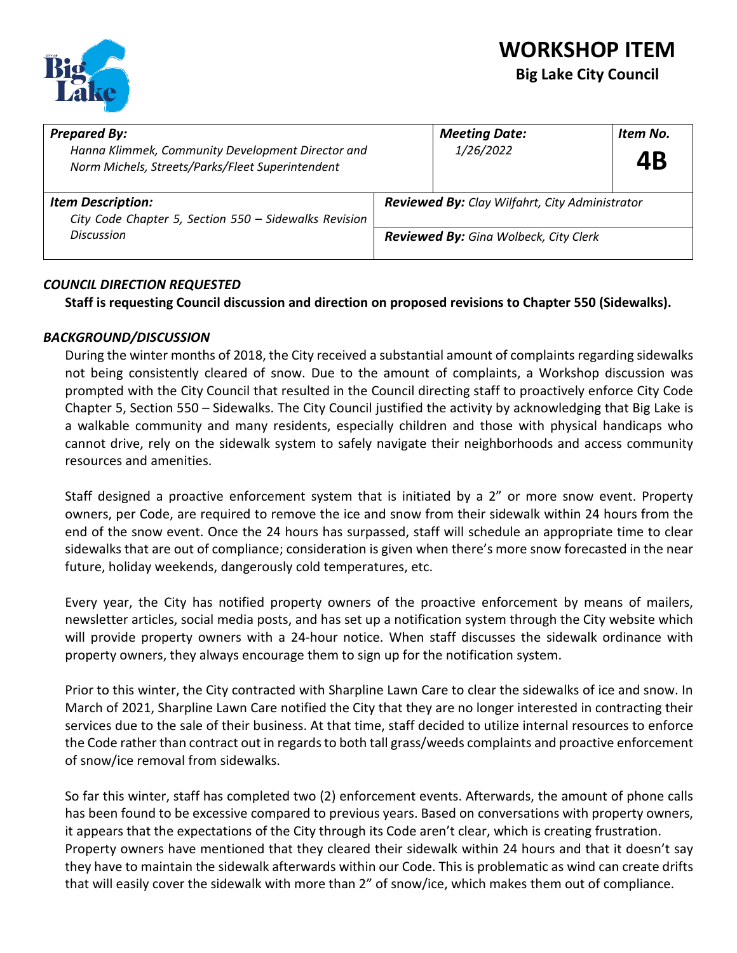

# **WORKSHOP ITEM**

### **Big Lake City Council**

| <b>Prepared By:</b><br>Hanna Klimmek, Community Development Director and<br>Norm Michels, Streets/Parks/Fleet Superintendent | <b>Meeting Date:</b><br>1/26/2022                     | Item No.<br>4Β |  |  |
|------------------------------------------------------------------------------------------------------------------------------|-------------------------------------------------------|----------------|--|--|
| <b>Item Description:</b><br>City Code Chapter 5, Section 550 - Sidewalks Revision                                            | <b>Reviewed By:</b> Clay Wilfahrt, City Administrator |                |  |  |
| <b>Discussion</b>                                                                                                            | <b>Reviewed By:</b> Gina Wolbeck, City Clerk          |                |  |  |

### *COUNCIL DIRECTION REQUESTED*

**Staff is requesting Council discussion and direction on proposed revisions to Chapter 550 (Sidewalks).**

### *BACKGROUND/DISCUSSION*

During the winter months of 2018, the City received a substantial amount of complaints regarding sidewalks not being consistently cleared of snow. Due to the amount of complaints, a Workshop discussion was prompted with the City Council that resulted in the Council directing staff to proactively enforce City Code Chapter 5, Section 550 – Sidewalks. The City Council justified the activity by acknowledging that Big Lake is a walkable community and many residents, especially children and those with physical handicaps who cannot drive, rely on the sidewalk system to safely navigate their neighborhoods and access community resources and amenities.

Staff designed a proactive enforcement system that is initiated by a 2" or more snow event. Property owners, per Code, are required to remove the ice and snow from their sidewalk within 24 hours from the end of the snow event. Once the 24 hours has surpassed, staff will schedule an appropriate time to clear sidewalks that are out of compliance; consideration is given when there's more snow forecasted in the near future, holiday weekends, dangerously cold temperatures, etc.

Every year, the City has notified property owners of the proactive enforcement by means of mailers, newsletter articles, social media posts, and has set up a notification system through the City website which will provide property owners with a 24-hour notice. When staff discusses the sidewalk ordinance with property owners, they always encourage them to sign up for the notification system.

Prior to this winter, the City contracted with Sharpline Lawn Care to clear the sidewalks of ice and snow. In March of 2021, Sharpline Lawn Care notified the City that they are no longer interested in contracting their services due to the sale of their business. At that time, staff decided to utilize internal resources to enforce the Code rather than contract out in regards to both tall grass/weeds complaints and proactive enforcement of snow/ice removal from sidewalks.

So far this winter, staff has completed two (2) enforcement events. Afterwards, the amount of phone calls has been found to be excessive compared to previous years. Based on conversations with property owners, it appears that the expectations of the City through its Code aren't clear, which is creating frustration. Property owners have mentioned that they cleared their sidewalk within 24 hours and that it doesn't say they have to maintain the sidewalk afterwards within our Code. This is problematic as wind can create drifts that will easily cover the sidewalk with more than 2" of snow/ice, which makes them out of compliance.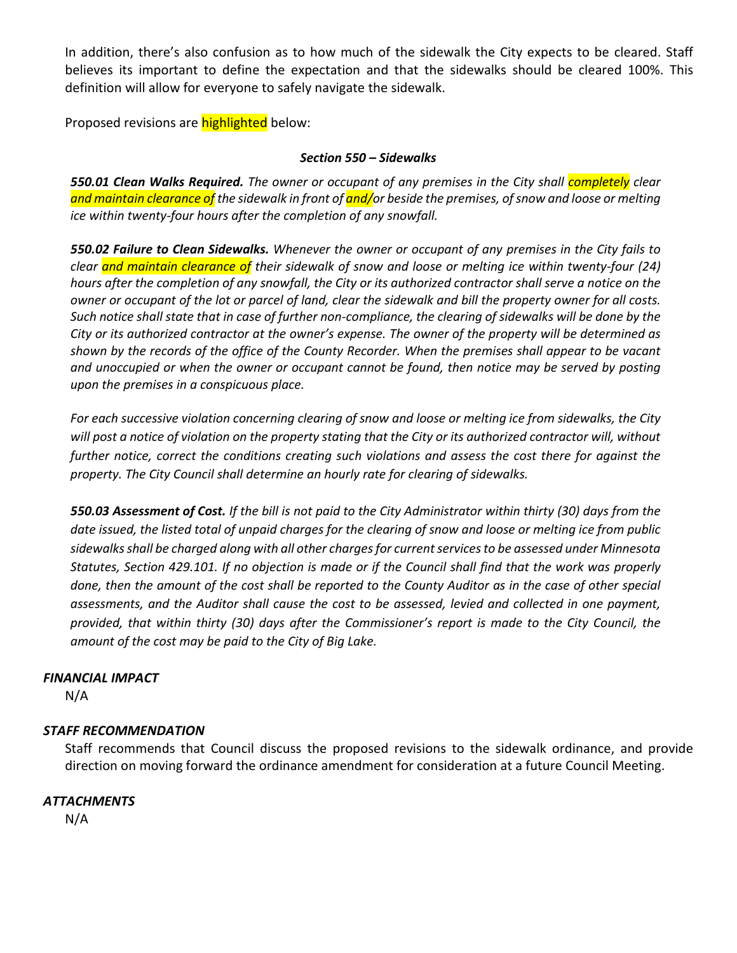In addition, there's also confusion as to how much of the sidewalk the City expects to be cleared. Staff believes its important to define the expectation and that the sidewalks should be cleared 100%. This definition will allow for everyone to safely navigate the sidewalk.

Proposed revisions are **highlighted** below:

### *Section 550 – Sidewalks*

*550.01 Clean Walks Required. The owner or occupant of any premises in the City shall completely clear and maintain clearance of the sidewalk in front of and/or beside the premises, of snow and loose or melting ice within twenty-four hours after the completion of any snowfall.*

*550.02 Failure to Clean Sidewalks. Whenever the owner or occupant of any premises in the City fails to clear and maintain clearance of their sidewalk of snow and loose or melting ice within twenty-four (24) hours after the completion of any snowfall, the City or its authorized contractor shall serve a notice on the owner or occupant of the lot or parcel of land, clear the sidewalk and bill the property owner for all costs. Such notice shall state that in case of further non-compliance, the clearing of sidewalks will be done by the City or its authorized contractor at the owner's expense. The owner of the property will be determined as shown by the records of the office of the County Recorder. When the premises shall appear to be vacant and unoccupied or when the owner or occupant cannot be found, then notice may be served by posting upon the premises in a conspicuous place.* 

*For each successive violation concerning clearing of snow and loose or melting ice from sidewalks, the City*  will post a notice of violation on the property stating that the City or its authorized contractor will, without *further notice, correct the conditions creating such violations and assess the cost there for against the property. The City Council shall determine an hourly rate for clearing of sidewalks.*

*550.03 Assessment of Cost. If the bill is not paid to the City Administrator within thirty (30) days from the date issued, the listed total of unpaid charges for the clearing of snow and loose or melting ice from public sidewalks shall be charged along with all other charges for current services to be assessed under Minnesota Statutes, Section 429.101. If no objection is made or if the Council shall find that the work was properly done, then the amount of the cost shall be reported to the County Auditor as in the case of other special assessments, and the Auditor shall cause the cost to be assessed, levied and collected in one payment, provided, that within thirty (30) days after the Commissioner's report is made to the City Council, the amount of the cost may be paid to the City of Big Lake.*

### *FINANCIAL IMPACT*

N/A

### *STAFF RECOMMENDATION*

Staff recommends that Council discuss the proposed revisions to the sidewalk ordinance, and provide direction on moving forward the ordinance amendment for consideration at a future Council Meeting.

### *ATTACHMENTS*

N/A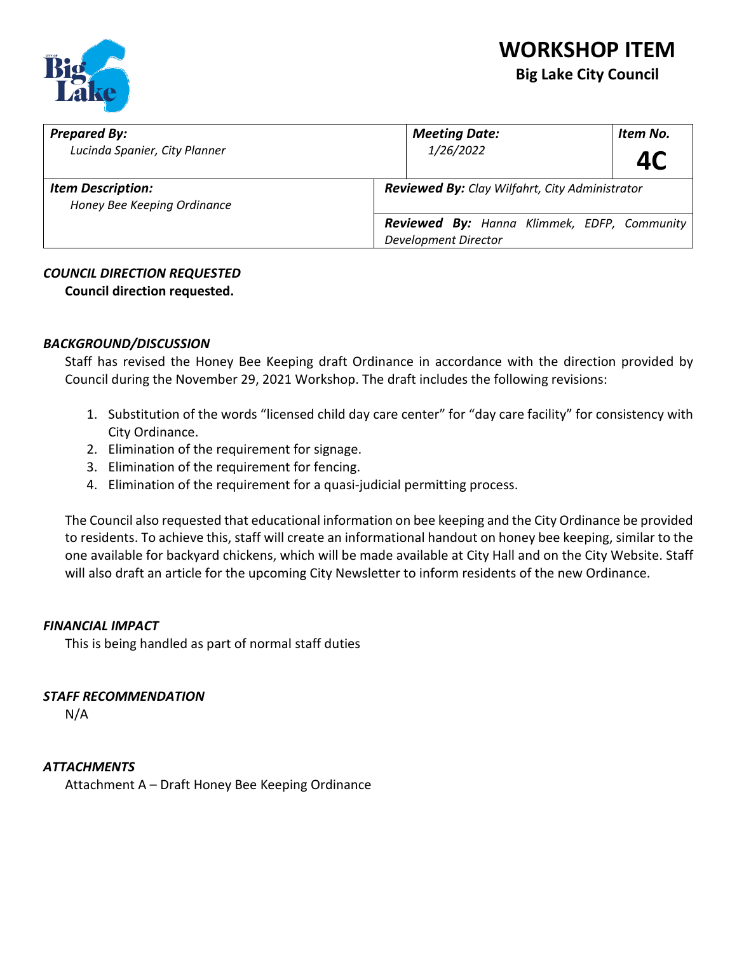

| <b>Prepared By:</b><br>Lucinda Spanier, City Planner    | <b>Meeting Date:</b><br>1/26/2022                                                 | Item No.<br><b>4C</b> |
|---------------------------------------------------------|-----------------------------------------------------------------------------------|-----------------------|
| <b>Item Description:</b><br>Honey Bee Keeping Ordinance | <b>Reviewed By:</b> Clay Wilfahrt, City Administrator                             |                       |
|                                                         | <b>Reviewed By:</b> Hanna Klimmek, EDFP, Community<br><b>Development Director</b> |                       |

### *COUNCIL DIRECTION REQUESTED*

**Council direction requested.** 

### *BACKGROUND/DISCUSSION*

Staff has revised the Honey Bee Keeping draft Ordinance in accordance with the direction provided by Council during the November 29, 2021 Workshop. The draft includes the following revisions:

- 1. Substitution of the words "licensed child day care center" for "day care facility" for consistency with City Ordinance.
- 2. Elimination of the requirement for signage.
- 3. Elimination of the requirement for fencing.
- 4. Elimination of the requirement for a quasi-judicial permitting process.

The Council also requested that educational information on bee keeping and the City Ordinance be provided to residents. To achieve this, staff will create an informational handout on honey bee keeping, similar to the one available for backyard chickens, which will be made available at City Hall and on the City Website. Staff will also draft an article for the upcoming City Newsletter to inform residents of the new Ordinance.

### *FINANCIAL IMPACT*

This is being handled as part of normal staff duties

### *STAFF RECOMMENDATION*

N/A

### *ATTACHMENTS*

Attachment A – Draft Honey Bee Keeping Ordinance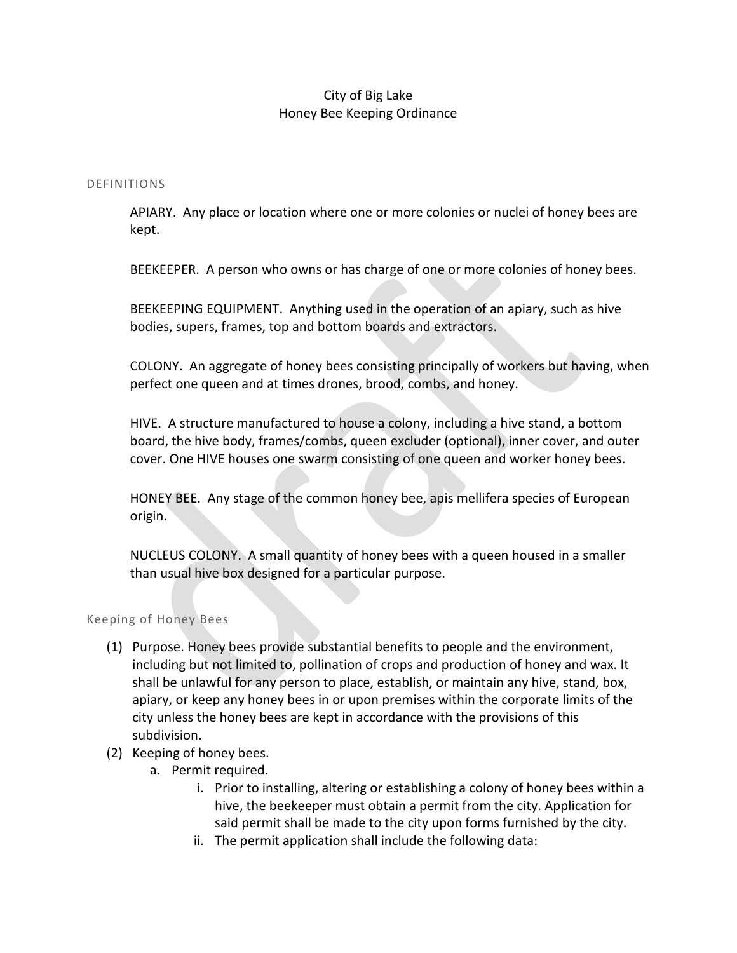### City of Big Lake Honey Bee Keeping Ordinance

#### DEFINITIONS

APIARY. Any place or location where one or more colonies or nuclei of honey bees are kept.

BEEKEEPER. A person who owns or has charge of one or more colonies of honey bees.

BEEKEEPING EQUIPMENT. Anything used in the operation of an apiary, such as hive bodies, supers, frames, top and bottom boards and extractors.

COLONY. An aggregate of honey bees consisting principally of workers but having, when perfect one queen and at times drones, brood, combs, and honey.

HIVE. A structure manufactured to house a colony, including a hive stand, a bottom board, the hive body, frames/combs, queen excluder (optional), inner cover, and outer cover. One HIVE houses one swarm consisting of one queen and worker honey bees.

HONEY BEE. Any stage of the common honey bee, apis mellifera species of European origin.

NUCLEUS COLONY. A small quantity of honey bees with a queen housed in a smaller than usual hive box designed for a particular purpose.

#### Keeping of Honey Bees

- (1) Purpose. Honey bees provide substantial benefits to people and the environment, including but not limited to, pollination of crops and production of honey and wax. It shall be unlawful for any person to place, establish, or maintain any hive, stand, box, apiary, or keep any honey bees in or upon premises within the corporate limits of the city unless the honey bees are kept in accordance with the provisions of this subdivision.
- (2) Keeping of honey bees.
	- a. Permit required.
		- i. Prior to installing, altering or establishing a colony of honey bees within a hive, the beekeeper must obtain a permit from the city. Application for said permit shall be made to the city upon forms furnished by the city.
		- ii. The permit application shall include the following data: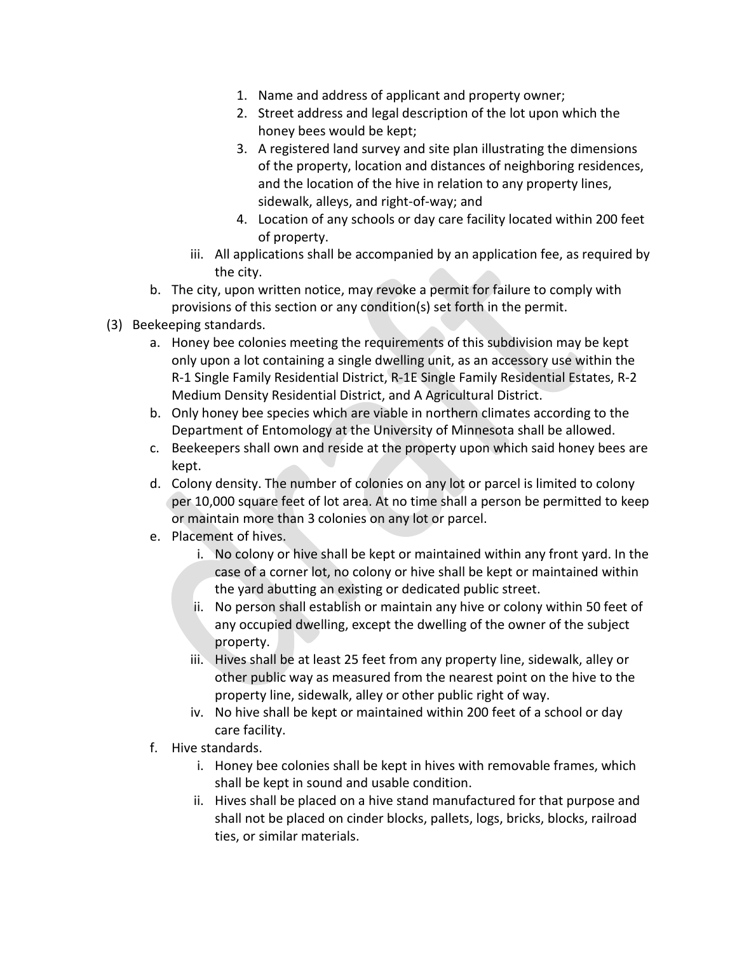- 1. Name and address of applicant and property owner;
- 2. Street address and legal description of the lot upon which the honey bees would be kept;
- 3. A registered land survey and site plan illustrating the dimensions of the property, location and distances of neighboring residences, and the location of the hive in relation to any property lines, sidewalk, alleys, and right-of-way; and
- 4. Location of any schools or day care facility located within 200 feet of property.
- iii. All applications shall be accompanied by an application fee, as required by the city.
- b. The city, upon written notice, may revoke a permit for failure to comply with provisions of this section or any condition(s) set forth in the permit.
- (3) Beekeeping standards.
	- a. Honey bee colonies meeting the requirements of this subdivision may be kept only upon a lot containing a single dwelling unit, as an accessory use within the R-1 Single Family Residential District, R-1E Single Family Residential Estates, R-2 Medium Density Residential District, and A Agricultural District.
	- b. Only honey bee species which are viable in northern climates according to the Department of Entomology at the University of Minnesota shall be allowed.
	- c. Beekeepers shall own and reside at the property upon which said honey bees are kept.
	- d. Colony density. The number of colonies on any lot or parcel is limited to colony per 10,000 square feet of lot area. At no time shall a person be permitted to keep or maintain more than 3 colonies on any lot or parcel.
	- e. Placement of hives.
		- i. No colony or hive shall be kept or maintained within any front yard. In the case of a corner lot, no colony or hive shall be kept or maintained within the yard abutting an existing or dedicated public street.
		- ii. No person shall establish or maintain any hive or colony within 50 feet of any occupied dwelling, except the dwelling of the owner of the subject property.
		- iii. Hives shall be at least 25 feet from any property line, sidewalk, alley or other public way as measured from the nearest point on the hive to the property line, sidewalk, alley or other public right of way.
		- iv. No hive shall be kept or maintained within 200 feet of a school or day care facility.
	- f. Hive standards.
		- i. Honey bee colonies shall be kept in hives with removable frames, which shall be kept in sound and usable condition.
		- ii. Hives shall be placed on a hive stand manufactured for that purpose and shall not be placed on cinder blocks, pallets, logs, bricks, blocks, railroad ties, or similar materials.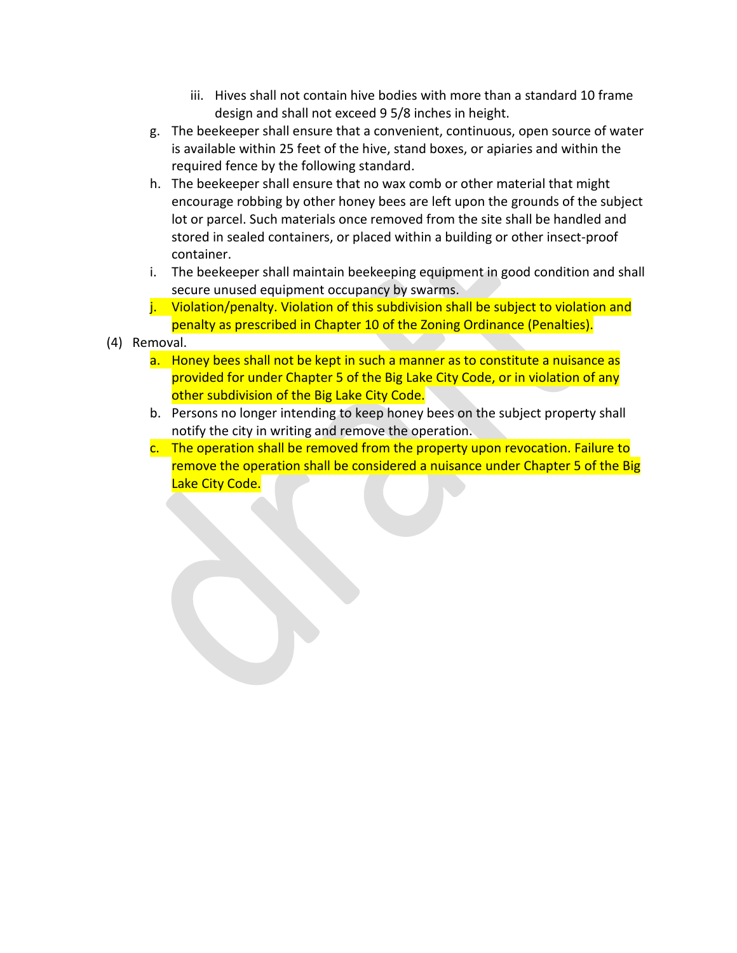- iii. Hives shall not contain hive bodies with more than a standard 10 frame design and shall not exceed 9 5/8 inches in height.
- g. The beekeeper shall ensure that a convenient, continuous, open source of water is available within 25 feet of the hive, stand boxes, or apiaries and within the required fence by the following standard.
- h. The beekeeper shall ensure that no wax comb or other material that might encourage robbing by other honey bees are left upon the grounds of the subject lot or parcel. Such materials once removed from the site shall be handled and stored in sealed containers, or placed within a building or other insect-proof container.
- i. The beekeeper shall maintain beekeeping equipment in good condition and shall secure unused equipment occupancy by swarms.
- j. Violation/penalty. Violation of this subdivision shall be subject to violation and penalty as prescribed in Chapter 10 of the Zoning Ordinance (Penalties).
- (4) Removal.
	- a. Honey bees shall not be kept in such a manner as to constitute a nuisance as provided for under Chapter 5 of the Big Lake City Code, or in violation of any other subdivision of the Big Lake City Code.
	- b. Persons no longer intending to keep honey bees on the subject property shall notify the city in writing and remove the operation.
	- c. The operation shall be removed from the property upon revocation. Failure to remove the operation shall be considered a nuisance under Chapter 5 of the Big Lake City Code.